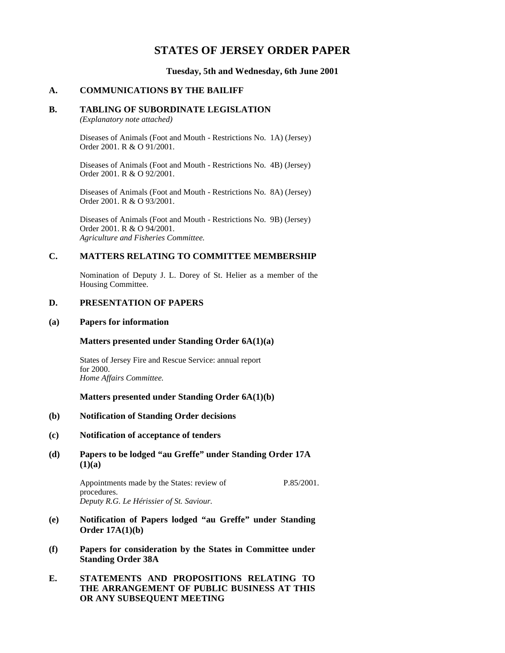# **STATES OF JERSEY ORDER PAPER**

**Tuesday, 5th and Wednesday, 6th June 2001**

## **A. COMMUNICATIONS BY THE BAILIFF**

## **B. TABLING OF SUBORDINATE LEGISLATION**

*(Explanatory note attached)*

Diseases of Animals (Foot and Mouth - Restrictions No. 1A) (Jersey) Order 2001. R & O 91/2001.

Diseases of Animals (Foot and Mouth - Restrictions No. 4B) (Jersey) Order 2001. R & O 92/2001.

Diseases of Animals (Foot and Mouth - Restrictions No. 8A) (Jersey) Order 2001. R & O 93/2001.

Diseases of Animals (Foot and Mouth - Restrictions No. 9B) (Jersey) Order 2001. R & O 94/2001. *Agriculture and Fisheries Committee.*

## **C. MATTERS RELATING TO COMMITTEE MEMBERSHIP**

Nomination of Deputy J. L. Dorey of St. Helier as a member of the Housing Committee.

## **D. PRESENTATION OF PAPERS**

#### **(a) Papers for information**

## **Matters presented under Standing Order 6A(1)(a)**

States of Jersey Fire and Rescue Service: annual report for 2000. *Home Affairs Committee.*

## **Matters presented under Standing Order 6A(1)(b)**

#### **(b) Notification of Standing Order decisions**

### **(c) Notification of acceptance of tenders**

# **(d) Papers to be lodged "au Greffe" under Standing Order 17A (1)(a)**

Appointments made by the States: review of procedures. *Deputy R.G. Le Hérissier of St. Saviour.* P.85/2001.

- **(e) Notification of Papers lodged "au Greffe" under Standing Order 17A(1)(b)**
- **(f) Papers for consideration by the States in Committee under Standing Order 38A**

# **E. STATEMENTS AND PROPOSITIONS RELATING TO THE ARRANGEMENT OF PUBLIC BUSINESS AT THIS OR ANY SUBSEQUENT MEETING**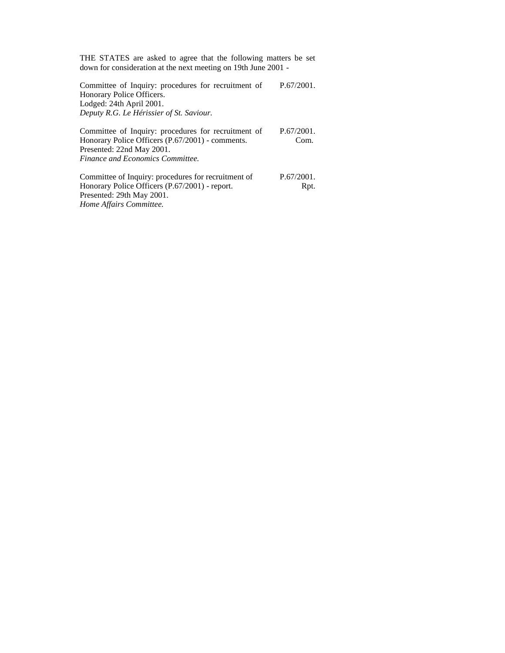THE STATES are asked to agree that the following matters be set down for consideration at the next meeting on 19th June 2001 -

Committee of Inquiry: procedures for recruitment of Honorary Police Officers. Lodged: 24th April 2001. *Deputy R.G. Le Hérissier of St. Saviour.* P.67/2001.

Committee of Inquiry: procedures for recruitment of Honorary Police Officers (P.67/2001) - comments. Presented: 22nd May 2001. *Finance and Economics Committee.* P.67/2001. Com*.*

Committee of Inquiry: procedures for recruitment of Honorary Police Officers (P.67/2001) - report. Presented: 29th May 2001. *Home Affairs Committee.* P.67/2001. Rpt.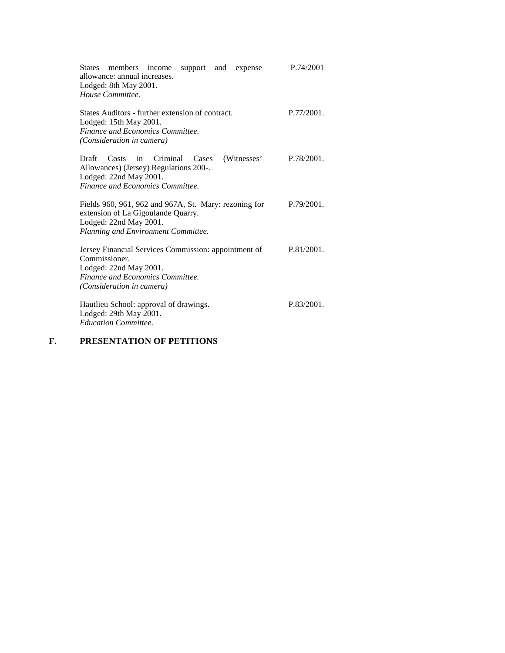| States members income<br>support and<br>expense<br>allowance: annual increases.<br>Lodged: 8th May 2001.<br>House Committee.                                     | P.74/2001     |
|------------------------------------------------------------------------------------------------------------------------------------------------------------------|---------------|
| States Auditors - further extension of contract.<br>Lodged: 15th May 2001.<br>Finance and Economics Committee.<br>(Consideration in camera)                      | $P.77/2001$ . |
| (Witnesses)<br>Draft<br>Costs<br>Criminal<br>Cases<br>in<br>Allowances) (Jersey) Regulations 200-.<br>Lodged: 22nd May 2001.<br>Finance and Economics Committee. | P.78/2001.    |
| Fields 960, 961, 962 and 967A, St. Mary: rezoning for<br>extension of La Gigoulande Quarry.<br>Lodged: 22nd May 2001.<br>Planning and Environment Committee.     | P.79/2001.    |
| Jersey Financial Services Commission: appointment of<br>Commissioner.<br>Lodged: 22nd May 2001.<br>Finance and Economics Committee.<br>(Consideration in camera) | P.81/2001.    |
| Hautlieu School: approval of drawings.<br>Lodged: 29th May 2001.<br><b>Education Committee.</b>                                                                  | P.83/2001.    |

# **F. PRESENTATION OF PETITIONS**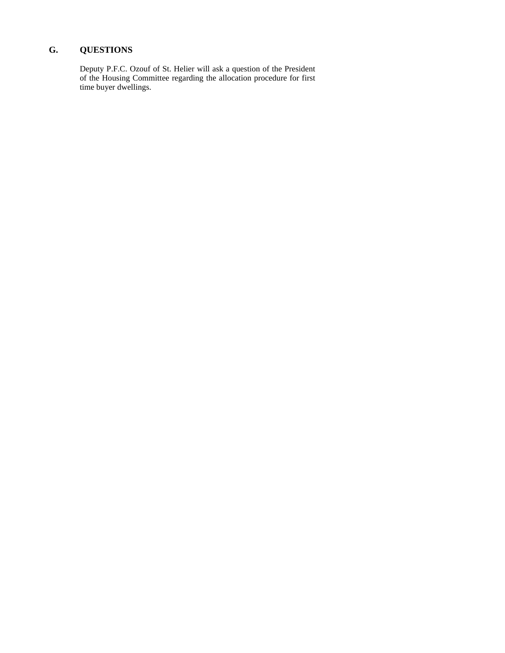# **G. QUESTIONS**

Deputy P.F.C. Ozouf of St. Helier will ask a question of the President of the Housing Committee regarding the allocation procedure for first time buyer dwellings.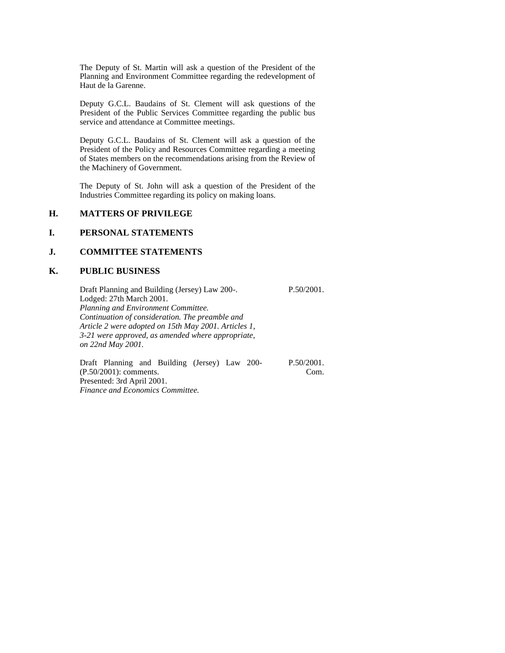The Deputy of St. Martin will ask a question of the President of the Planning and Environment Committee regarding the redevelopment of Haut de la Garenne.

Deputy G.C.L. Baudains of St. Clement will ask questions of the President of the Public Services Committee regarding the public bus service and attendance at Committee meetings.

Deputy G.C.L. Baudains of St. Clement will ask a question of the President of the Policy and Resources Committee regarding a meeting of States members on the recommendations arising from the Review of the Machinery of Government.

The Deputy of St. John will ask a question of the President of the Industries Committee regarding its policy on making loans.

## **H. MATTERS OF PRIVILEGE**

## **I. PERSONAL STATEMENTS**

## **J. COMMITTEE STATEMENTS**

#### **K. PUBLIC BUSINESS**

Draft Planning and Building (Jersey) Law 200-. Lodged: 27th March 2001. *Planning and Environment Committee. Continuation of consideration. The preamble and Article 2 were adopted on 15th May 2001. Articles 1, 3-21 were approved, as amended where appropriate, on 22nd May 2001.* P.50/2001.

Draft Planning and Building (Jersey) Law 200- (P.50/2001): comments. Presented: 3rd April 2001. *Finance and Economics Committee.*

P.50/2001. Com.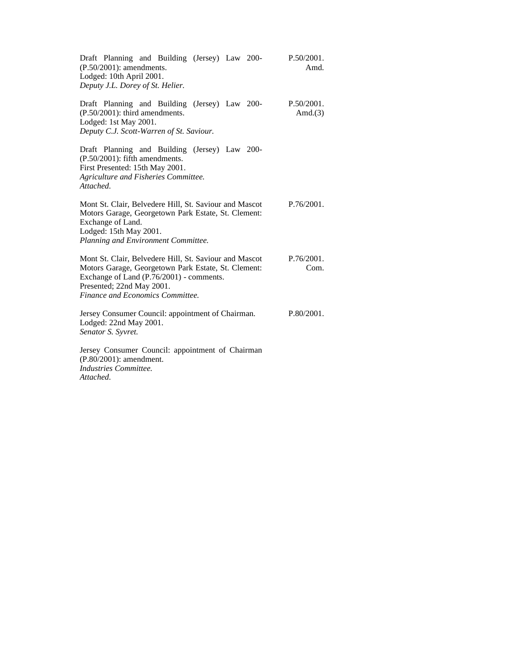| Draft Planning and Building (Jersey) Law 200-<br>$(P.50/2001)$ : amendments.<br>Lodged: 10th April 2001.<br>Deputy J.L. Dorey of St. Helier.                                                                               | P.50/2001.<br>Amd.       |
|----------------------------------------------------------------------------------------------------------------------------------------------------------------------------------------------------------------------------|--------------------------|
| Draft Planning and Building (Jersey) Law 200-<br>$(P.50/2001)$ : third amendments.<br>Lodged: 1st May 2001.<br>Deputy C.J. Scott-Warren of St. Saviour.                                                                    | P.50/2001.<br>Amd. $(3)$ |
| Draft Planning and Building (Jersey) Law 200-<br>$(P.50/2001)$ : fifth amendments.<br>First Presented: 15th May 2001.<br>Agriculture and Fisheries Committee.<br>Attached.                                                 |                          |
| Mont St. Clair, Belvedere Hill, St. Saviour and Mascot<br>Motors Garage, Georgetown Park Estate, St. Clement:<br>Exchange of Land.<br>Lodged: 15th May 2001.<br>Planning and Environment Committee.                        | $P.76/2001$ .            |
| Mont St. Clair, Belvedere Hill, St. Saviour and Mascot<br>Motors Garage, Georgetown Park Estate, St. Clement:<br>Exchange of Land (P.76/2001) - comments.<br>Presented; 22nd May 2001.<br>Finance and Economics Committee. | P.76/2001.<br>Com.       |
| Jersey Consumer Council: appointment of Chairman.<br>Lodged: 22nd May 2001.<br>Senator S. Syvret.                                                                                                                          | P.80/2001.               |
| Jersey Consumer Council: appointment of Chairman<br>(P.80/2001): amendment.<br>Industries Committee.                                                                                                                       |                          |

*Attached.*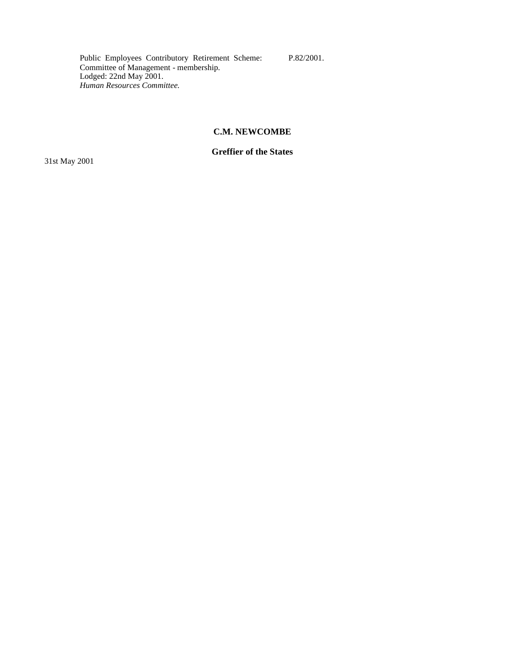Public Employees Contributory Retirement Scheme: Committee of Management - membership. Lodged: 22nd May 2001. *Human Resources Committee.*

### P.82/2001.

# **C.M. NEWCOMBE**

# **Greffier of the States**

31st May 2001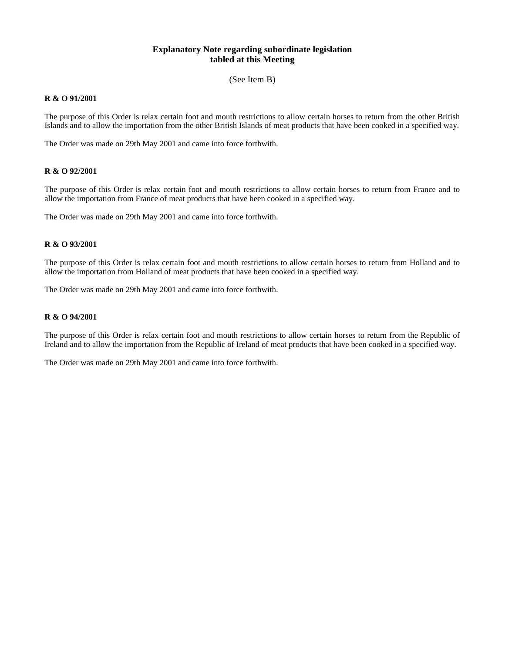## **Explanatory Note regarding subordinate legislation tabled at this Meeting**

(See Item B)

#### **R & O 91/2001**

The purpose of this Order is relax certain foot and mouth restrictions to allow certain horses to return from the other British Islands and to allow the importation from the other British Islands of meat products that have been cooked in a specified way.

The Order was made on 29th May 2001 and came into force forthwith.

#### **R & O 92/2001**

The purpose of this Order is relax certain foot and mouth restrictions to allow certain horses to return from France and to allow the importation from France of meat products that have been cooked in a specified way.

The Order was made on 29th May 2001 and came into force forthwith.

#### **R & O 93/2001**

The purpose of this Order is relax certain foot and mouth restrictions to allow certain horses to return from Holland and to allow the importation from Holland of meat products that have been cooked in a specified way.

The Order was made on 29th May 2001 and came into force forthwith.

#### **R & O 94/2001**

The purpose of this Order is relax certain foot and mouth restrictions to allow certain horses to return from the Republic of Ireland and to allow the importation from the Republic of Ireland of meat products that have been cooked in a specified way.

The Order was made on 29th May 2001 and came into force forthwith.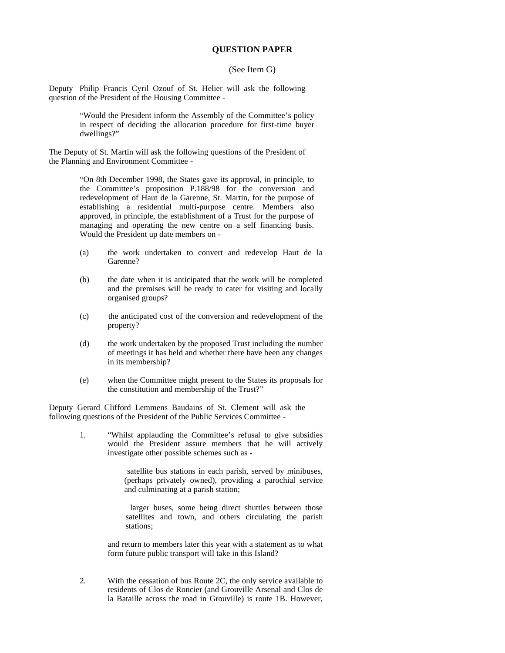### **QUESTION PAPER**

#### (See Item G)

Deputy Philip Francis Cyril Ozouf of St. Helier will ask the following question of the President of the Housing Committee -

> "Would the President inform the Assembly of the Committee's policy in respect of deciding the allocation procedure for first-time buyer dwellings?"

The Deputy of St. Martin will ask the following questions of the President of the Planning and Environment Committee -

> "On 8th December 1998, the States gave its approval, in principle, to the Committee's proposition P.188/98 for the conversion and redevelopment of Haut de la Garenne, St. Martin, for the purpose of establishing a residential multi-purpose centre. Members also approved, in principle, the establishment of a Trust for the purpose of managing and operating the new centre on a self financing basis. Would the President up date members on -

- (a) the work undertaken to convert and redevelop Haut de la Garenne?
- (b) the date when it is anticipated that the work will be completed and the premises will be ready to cater for visiting and locally organised groups?
- (c) the anticipated cost of the conversion and redevelopment of the property?
- (d) the work undertaken by the proposed Trust including the number of meetings it has held and whether there have been any changes in its membership?
- (e) when the Committee might present to the States its proposals for the constitution and membership of the Trust?"

Deputy Gerard Clifford Lemmens Baudains of St. Clement will ask the following questions of the President of the Public Services Committee -

> 1. "Whilst applauding the Committee's refusal to give subsidies would the President assure members that he will actively investigate other possible schemes such as -

> > satellite bus stations in each parish, served by minibuses, (perhaps privately owned), providing a parochial service and culminating at a parish station;

> > larger buses, some being direct shuttles between those satellites and town, and others circulating the parish stations;

and return to members later this year with a statement as to what form future public transport will take in this Island?

2. With the cessation of bus Route 2C, the only service available to residents of Clos de Roncier (and Grouville Arsenal and Clos de la Bataille across the road in Grouville) is route 1B. However,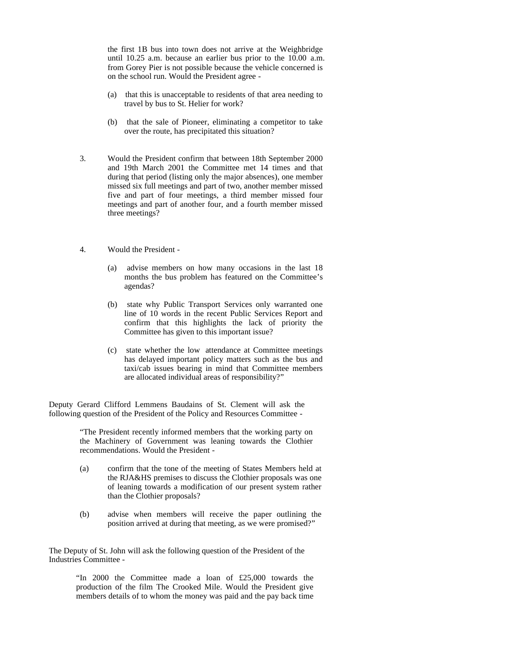the first 1B bus into town does not arrive at the Weighbridge until 10.25 a.m. because an earlier bus prior to the 10.00 a.m. from Gorey Pier is not possible because the vehicle concerned is on the school run. Would the President agree -

- (a) that this is unacceptable to residents of that area needing to travel by bus to St. Helier for work?
- (b) that the sale of Pioneer, eliminating a competitor to take over the route, has precipitated this situation?
- 3. Would the President confirm that between 18th September 2000 and 19th March 2001 the Committee met 14 times and that during that period (listing only the major absences), one member missed six full meetings and part of two, another member missed five and part of four meetings, a third member missed four meetings and part of another four, and a fourth member missed three meetings?
- 4. Would the President
	- (a) advise members on how many occasions in the last 18 months the bus problem has featured on the Committee's agendas?
	- (b) state why Public Transport Services only warranted one line of 10 words in the recent Public Services Report and confirm that this highlights the lack of priority the Committee has given to this important issue?
	- (c) state whether the low attendance at Committee meetings has delayed important policy matters such as the bus and taxi/cab issues bearing in mind that Committee members are allocated individual areas of responsibility?"

Deputy Gerard Clifford Lemmens Baudains of St. Clement will ask the following question of the President of the Policy and Resources Committee -

> "The President recently informed members that the working party on the Machinery of Government was leaning towards the Clothier recommendations. Would the President -

- (a) confirm that the tone of the meeting of States Members held at the RJA&HS premises to discuss the Clothier proposals was one of leaning towards a modification of our present system rather than the Clothier proposals?
- (b) advise when members will receive the paper outlining the position arrived at during that meeting, as we were promised?"

The Deputy of St. John will ask the following question of the President of the Industries Committee -

> "In 2000 the Committee made a loan of £25,000 towards the production of the film The Crooked Mile. Would the President give members details of to whom the money was paid and the pay back time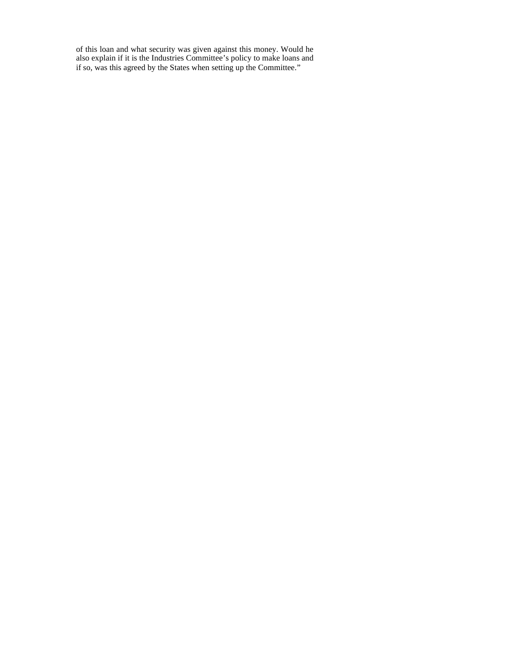of this loan and what security was given against this money. Would he also explain if it is the Industries Committee's policy to make loans and if so, was this agreed by the States when setting up the Committee."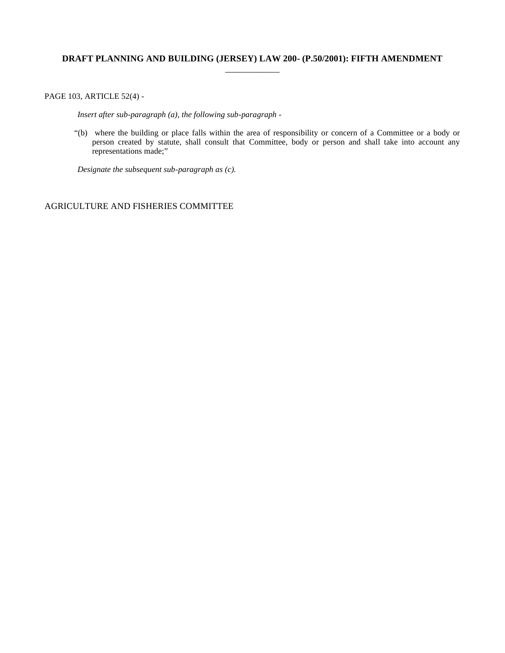# **DRAFT PLANNING AND BUILDING (JERSEY) LAW 200- (P.50/2001): FIFTH AMENDMENT** \_\_\_\_\_\_\_\_\_\_\_\_

PAGE 103, ARTICLE 52(4) -

 *Insert after sub-paragraph (a), the following sub-paragraph -*

"(b) where the building or place falls within the area of responsibility or concern of a Committee or a body or person created by statute, shall consult that Committee, body or person and shall take into account any representations made;"

 *Designate the subsequent sub-paragraph as (c).*

# AGRICULTURE AND FISHERIES COMMITTEE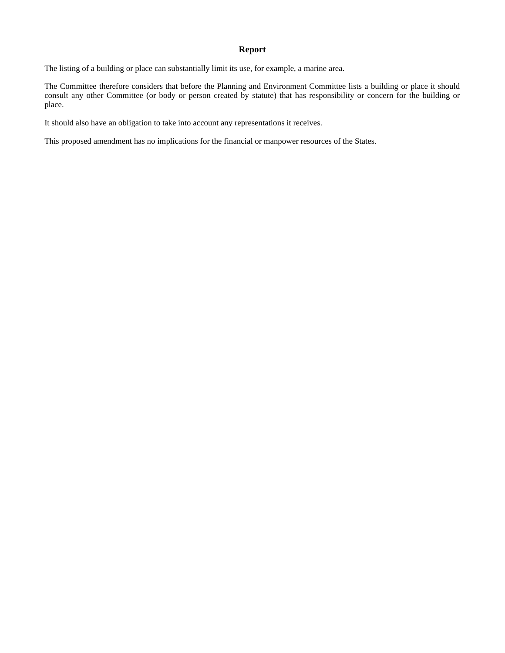## **Report**

The listing of a building or place can substantially limit its use, for example, a marine area.

The Committee therefore considers that before the Planning and Environment Committee lists a building or place it should consult any other Committee (or body or person created by statute) that has responsibility or concern for the building or place.

It should also have an obligation to take into account any representations it receives.

This proposed amendment has no implications for the financial or manpower resources of the States.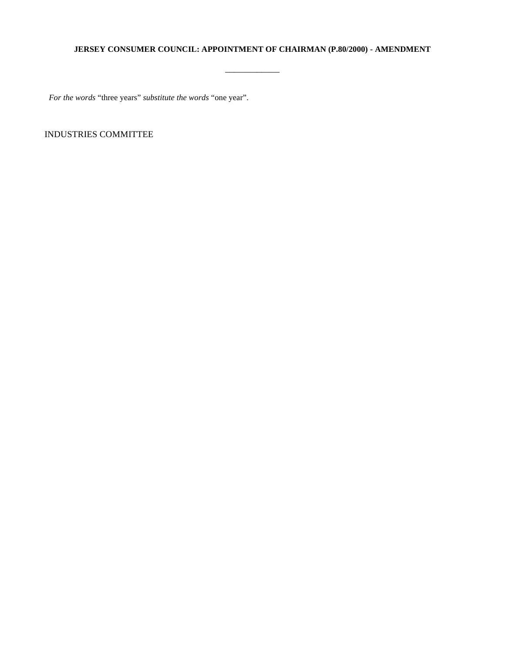## **JERSEY CONSUMER COUNCIL: APPOINTMENT OF CHAIRMAN (P.80/2000) - AMENDMENT**

\_\_\_\_\_\_\_\_\_\_\_\_

*For the words* "three years" *substitute the words* "one year".

INDUSTRIES COMMITTEE